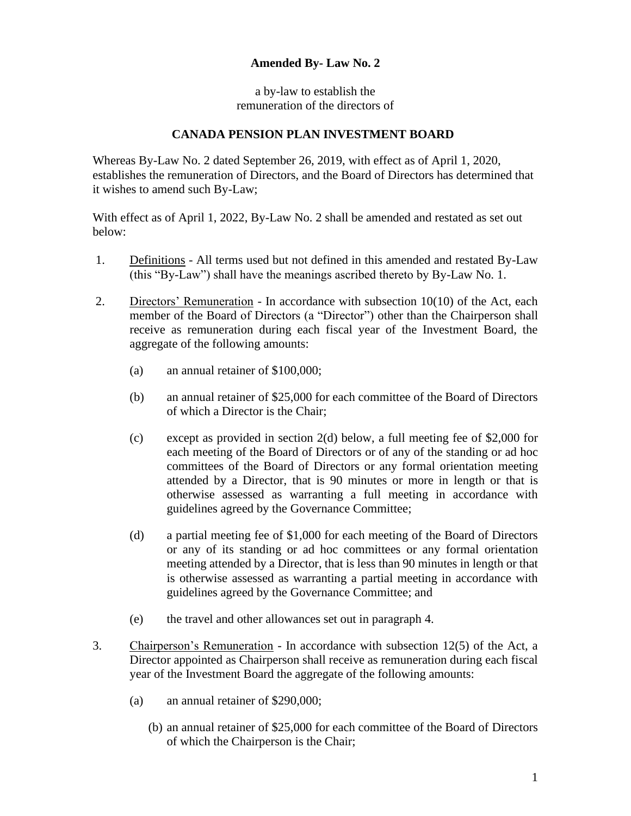## **Amended By- Law No. 2**

a by-law to establish the remuneration of the directors of

## **CANADA PENSION PLAN INVESTMENT BOARD**

Whereas By-Law No. 2 dated September 26, 2019, with effect as of April 1, 2020, establishes the remuneration of Directors, and the Board of Directors has determined that it wishes to amend such By-Law;

With effect as of April 1, 2022, By-Law No. 2 shall be amended and restated as set out below:

- 1. Definitions All terms used but not defined in this amended and restated By-Law (this "By-Law") shall have the meanings ascribed thereto by By-Law No. 1.
- 2. Directors' Remuneration In accordance with subsection 10(10) of the Act, each member of the Board of Directors (a "Director") other than the Chairperson shall receive as remuneration during each fiscal year of the Investment Board, the aggregate of the following amounts:
	- (a) an annual retainer of \$100,000;
	- (b) an annual retainer of \$25,000 for each committee of the Board of Directors of which a Director is the Chair;
	- (c) except as provided in section 2(d) below, a full meeting fee of \$2,000 for each meeting of the Board of Directors or of any of the standing or ad hoc committees of the Board of Directors or any formal orientation meeting attended by a Director, that is 90 minutes or more in length or that is otherwise assessed as warranting a full meeting in accordance with guidelines agreed by the Governance Committee;
	- (d) a partial meeting fee of \$1,000 for each meeting of the Board of Directors or any of its standing or ad hoc committees or any formal orientation meeting attended by a Director, that is less than 90 minutes in length or that is otherwise assessed as warranting a partial meeting in accordance with guidelines agreed by the Governance Committee; and
	- (e) the travel and other allowances set out in paragraph 4.
- 3. Chairperson's Remuneration In accordance with subsection 12(5) of the Act, a Director appointed as Chairperson shall receive as remuneration during each fiscal year of the Investment Board the aggregate of the following amounts:
	- (a) an annual retainer of \$290,000;
		- (b) an annual retainer of \$25,000 for each committee of the Board of Directors of which the Chairperson is the Chair;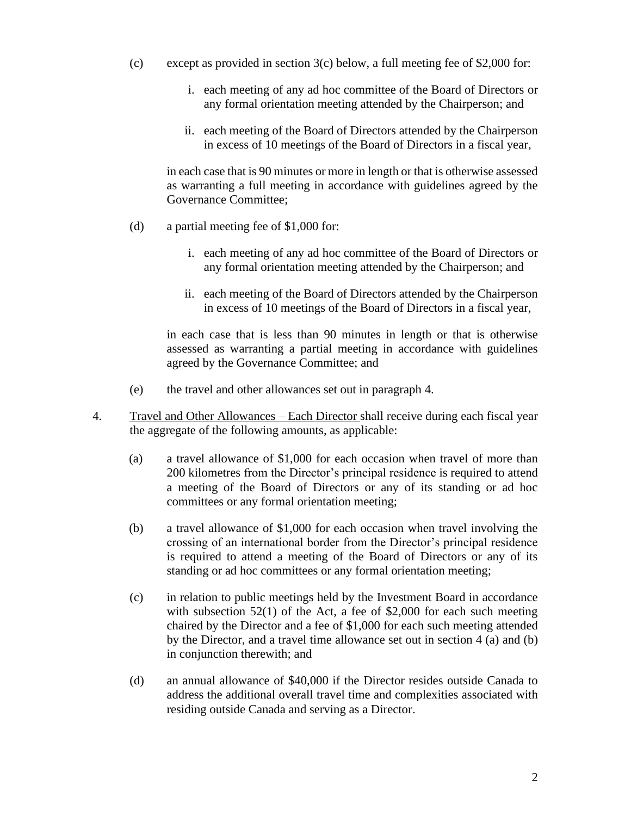- (c) except as provided in section  $3(c)$  below, a full meeting fee of \$2,000 for:
	- i. each meeting of any ad hoc committee of the Board of Directors or any formal orientation meeting attended by the Chairperson; and
	- ii. each meeting of the Board of Directors attended by the Chairperson in excess of 10 meetings of the Board of Directors in a fiscal year,

in each case that is 90 minutes or more in length or that is otherwise assessed as warranting a full meeting in accordance with guidelines agreed by the Governance Committee;

- (d) a partial meeting fee of \$1,000 for:
	- i. each meeting of any ad hoc committee of the Board of Directors or any formal orientation meeting attended by the Chairperson; and
	- ii. each meeting of the Board of Directors attended by the Chairperson in excess of 10 meetings of the Board of Directors in a fiscal year,

in each case that is less than 90 minutes in length or that is otherwise assessed as warranting a partial meeting in accordance with guidelines agreed by the Governance Committee; and

- (e) the travel and other allowances set out in paragraph 4.
- 4. **Travel and Other Allowances Each Director shall receive during each fiscal year** the aggregate of the following amounts, as applicable:
	- (a) a travel allowance of \$1,000 for each occasion when travel of more than 200 kilometres from the Director's principal residence is required to attend a meeting of the Board of Directors or any of its standing or ad hoc committees or any formal orientation meeting;
	- (b) a travel allowance of \$1,000 for each occasion when travel involving the crossing of an international border from the Director's principal residence is required to attend a meeting of the Board of Directors or any of its standing or ad hoc committees or any formal orientation meeting;
	- (c) in relation to public meetings held by the Investment Board in accordance with subsection 52(1) of the Act, a fee of \$2,000 for each such meeting chaired by the Director and a fee of \$1,000 for each such meeting attended by the Director, and a travel time allowance set out in section 4 (a) and (b) in conjunction therewith; and
	- (d) an annual allowance of \$40,000 if the Director resides outside Canada to address the additional overall travel time and complexities associated with residing outside Canada and serving as a Director.